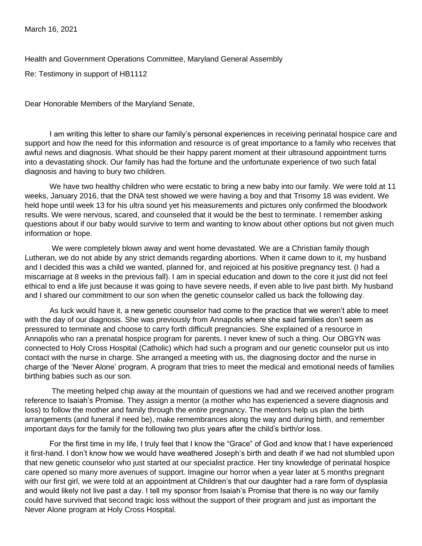March 16, 2021

Health and Government Operations Committee, Maryland General Assembly

Re: Testimony in support of HB1112

Dear Honorable Members of the Maryland Senate,

I am writing this letter to share our family's personal experiences in receiving perinatal hospice care and support and how the need for this information and resource is of great importance to a family who receives that awful news and diagnosis. What should be their happy parent moment at their ultrasound appointment turns into a devastating shock. Our family has had the fortune and the unfortunate experience of two such fatal diagnosis and having to bury two children.

We have two healthy children who were ecstatic to bring a new baby into our family. We were told at 11 weeks, January 2016, that the DNA test showed we were having a boy and that Trisomy 18 was evident. We held hope until week 13 for his ultra sound yet his measurements and pictures only confirmed the bloodwork results. We were nervous, scared, and counseled that it would be the best to terminate. I remember asking questions about if our baby would survive to term and wanting to know about other options but not given much information or hope.

We were completely blown away and went home devastated. We are a Christian family though Lutheran, we do not abide by any strict demands regarding abortions. When it came down to it, my husband and I decided this was a child we wanted, planned for, and rejoiced at his positive pregnancy test. (I had a miscarriage at 8 weeks in the previous fall). I am in special education and down to the core it just did not feel ethical to end a life just because it was going to have severe needs, if even able to live past birth. My husband and I shared our commitment to our son when the genetic counselor called us back the following day.

As luck would have it, a new genetic counselor had come to the practice that we weren't able to meet with the day of our diagnosis. She was previously from Annapolis where she said families don't seem as pressured to terminate and choose to carry forth difficult pregnancies. She explained of a resource in Annapolis who ran a prenatal hospice program for parents. I never knew of such a thing. Our OBGYN was connected to Holy Cross Hospital (Catholic) which had such a program and our genetic counselor put us into contact with the nurse in charge. She arranged a meeting with us, the diagnosing doctor and the nurse in charge of the 'Never Alone' program. A program that tries to meet the medical and emotional needs of families birthing babies such as our son.

The meeting helped chip away at the mountain of questions we had and we received another program reference to Isaiah's Promise. They assign a mentor (a mother who has experienced a severe diagnosis and loss) to follow the mother and family through the *entire* pregnancy. The mentors help us plan the birth arrangements (and funeral if need be), make remembrances along the way and during birth, and remember important days for the family for the following two plus years after the child's birth/or loss.

For the first time in my life, I truly feel that I know the "Grace" of God and know that I have experienced it first-hand. I don't know how we would have weathered Joseph's birth and death if we had not stumbled upon that new genetic counselor who just started at our specialist practice. Her tiny knowledge of perinatal hospice care opened so many more avenues of support. Imagine our horror when a year later at 5 months pregnant with our first girl, we were told at an appointment at Children's that our daughter had a rare form of dysplasia and would likely not live past a day. I tell my sponsor from Isaiah's Promise that there is no way our family could have survived that second tragic loss without the support of their program and just as important the Never Alone program at Holy Cross Hospital.